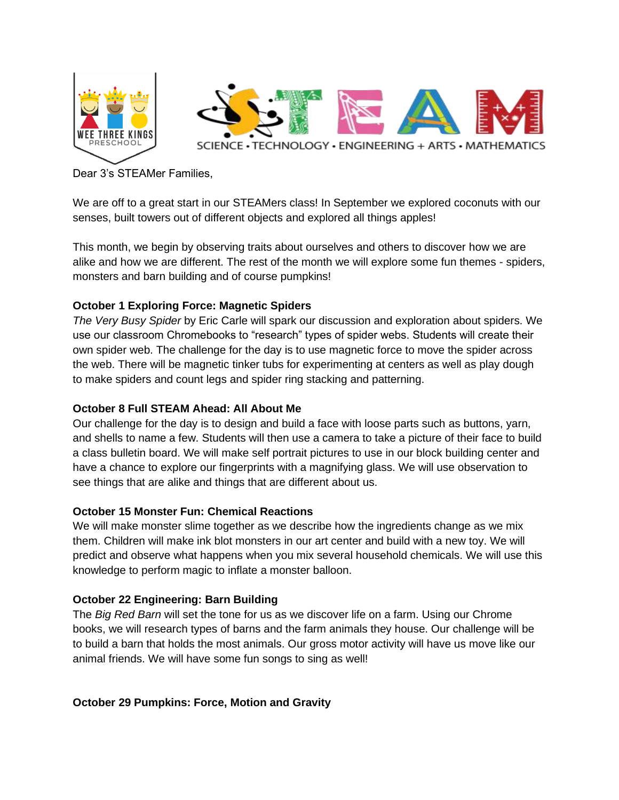

Dear 3's STEAMer Families,

We are off to a great start in our STEAMers class! In September we explored coconuts with our senses, built towers out of different objects and explored all things apples!

This month, we begin by observing traits about ourselves and others to discover how we are alike and how we are different. The rest of the month we will explore some fun themes - spiders, monsters and barn building and of course pumpkins!

## **October 1 Exploring Force: Magnetic Spiders**

*The Very Busy Spider* by Eric Carle will spark our discussion and exploration about spiders. We use our classroom Chromebooks to "research" types of spider webs. Students will create their own spider web. The challenge for the day is to use magnetic force to move the spider across the web. There will be magnetic tinker tubs for experimenting at centers as well as play dough to make spiders and count legs and spider ring stacking and patterning.

## **October 8 Full STEAM Ahead: All About Me**

Our challenge for the day is to design and build a face with loose parts such as buttons, yarn, and shells to name a few. Students will then use a camera to take a picture of their face to build a class bulletin board. We will make self portrait pictures to use in our block building center and have a chance to explore our fingerprints with a magnifying glass. We will use observation to see things that are alike and things that are different about us.

## **October 15 Monster Fun: Chemical Reactions**

We will make monster slime together as we describe how the ingredients change as we mix them. Children will make ink blot monsters in our art center and build with a new toy. We will predict and observe what happens when you mix several household chemicals. We will use this knowledge to perform magic to inflate a monster balloon.

## **October 22 Engineering: Barn Building**

The *Big Red Barn* will set the tone for us as we discover life on a farm. Using our Chrome books, we will research types of barns and the farm animals they house. Our challenge will be to build a barn that holds the most animals. Our gross motor activity will have us move like our animal friends. We will have some fun songs to sing as well!

**October 29 Pumpkins: Force, Motion and Gravity**